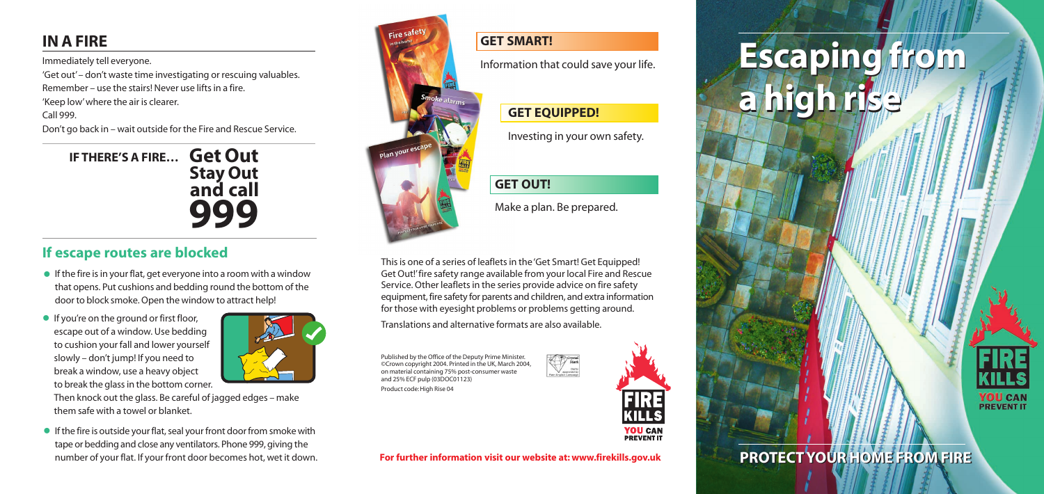# **Escaping from Escaping from a high rise a high rise**



**PROTECT YOUR HOME FROM FIRE PROTECT YOUR HOME FROM FIRE**

**Get Out IF THERE'S A FIRE… Stay Out and call 999**

Immediately tell everyone.

'Get out'– don't waste time investigating or rescuing valuables. Remember – use the stairs! Never use lifts in a fire. 'Keep low'where the air is clearer. Call 999.

- $\bullet$  If the fire is in your flat, get everyone into a room with a window that opens. Put cushions and bedding round the bottom of the door to block smoke. Open the window to attract help!
- **•** If you're on the ground or first floor, escape out of a window. Use bedding to cushion your fall and lower yourself slowly – don't jump! If you need to break a window, use a heavy object to break the glass in the bottom corner.



Don't go back in – wait outside for the Fire and Rescue Service.

# **IN A FIRE**

Then knock out the glass. Be careful of jagged edges – make them safe with a towel or blanket.

# **If escape routes are blocked**

• If the fire is outside your flat, seal your front door from smoke with tape or bedding and close any ventilators. Phone 999, giving the



number of your flat. If your front door becomes hot, wet it down. **For further information visit our website at: www.firekills.gov.uk**

#### **GET SMART!**

Information that could save your life.

#### **GET EQUIPPED!**

Investing in your own safety.

### **GET OUT!**

Make a plan. Be prepared.

This is one of a series of leaflets in the 'Get Smart! Get Equipped! Get Out!'fire safety range available from your local Fire and Rescue Service. Other leaflets in the series provide advice on fire safety equipment, fire safety for parents and children, and extra information for those with eyesight problems or problems getting around.

Translations and alternative formats are also available.

Published by the Office of the Deputy Prime Minister. ©Crown copyright 2004. Printed in the UK, March 2004, on material containing 75% post-consumer waste and 25% ECF pulp (03DOC01123) Product code: High Rise 04